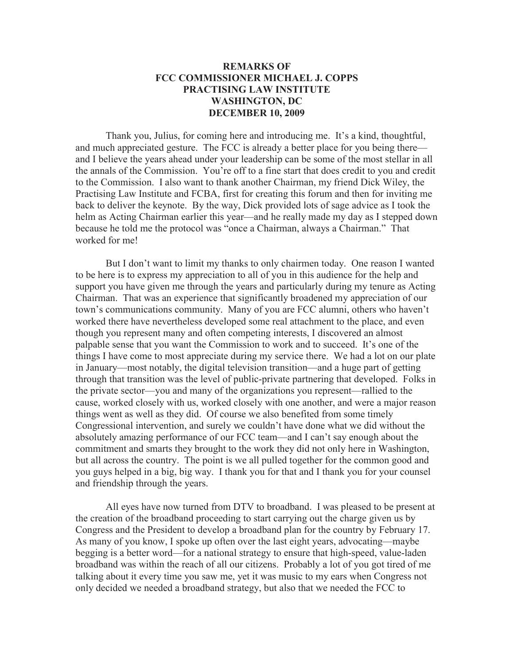## **REMARKS OF FCC COMMISSIONER MICHAEL J. COPPS PRACTISING LAW INSTITUTE WASHINGTON, DC DECEMBER 10, 2009**

Thank you, Julius, for coming here and introducing me. It's a kind, thoughtful, and much appreciated gesture. The FCC is already a better place for you being there and I believe the years ahead under your leadership can be some of the most stellar in all the annals of the Commission. You're off to a fine start that does credit to you and credit to the Commission. I also want to thank another Chairman, my friend Dick Wiley, the Practising Law Institute and FCBA, first for creating this forum and then for inviting me back to deliver the keynote. By the way, Dick provided lots of sage advice as I took the helm as Acting Chairman earlier this year—and he really made my day as I stepped down because he told me the protocol was "once a Chairman, always a Chairman." That worked for me!

But I don't want to limit my thanks to only chairmen today. One reason I wanted to be here is to express my appreciation to all of you in this audience for the help and support you have given me through the years and particularly during my tenure as Acting Chairman. That was an experience that significantly broadened my appreciation of our town's communications community. Many of you are FCC alumni, others who haven't worked there have nevertheless developed some real attachment to the place, and even though you represent many and often competing interests, I discovered an almost palpable sense that you want the Commission to work and to succeed. It's one of the things I have come to most appreciate during my service there. We had a lot on our plate in January—most notably, the digital television transition—and a huge part of getting through that transition was the level of public-private partnering that developed. Folks in the private sector—you and many of the organizations you represent—rallied to the cause, worked closely with us, worked closely with one another, and were a major reason things went as well as they did. Of course we also benefited from some timely Congressional intervention, and surely we couldn't have done what we did without the absolutely amazing performance of our FCC team—and I can't say enough about the commitment and smarts they brought to the work they did not only here in Washington, but all across the country. The point is we all pulled together for the common good and you guys helped in a big, big way. I thank you for that and I thank you for your counsel and friendship through the years.

All eyes have now turned from DTV to broadband. I was pleased to be present at the creation of the broadband proceeding to start carrying out the charge given us by Congress and the President to develop a broadband plan for the country by February 17. As many of you know, I spoke up often over the last eight years, advocating—maybe begging is a better word—for a national strategy to ensure that high-speed, value-laden broadband was within the reach of all our citizens. Probably a lot of you got tired of me talking about it every time you saw me, yet it was music to my ears when Congress not only decided we needed a broadband strategy, but also that we needed the FCC to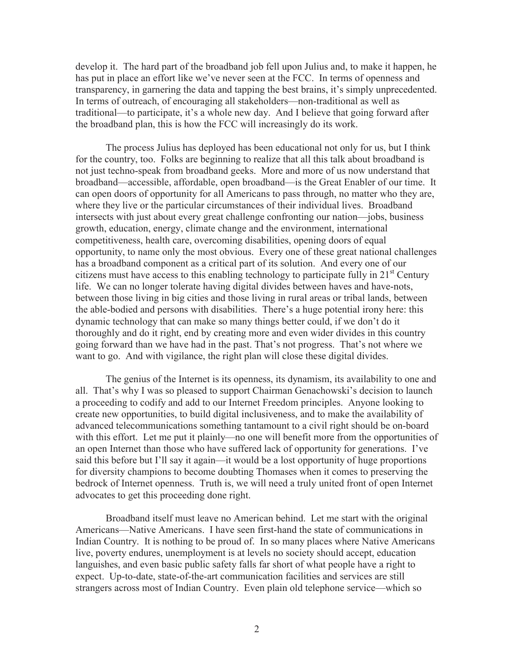develop it. The hard part of the broadband job fell upon Julius and, to make it happen, he has put in place an effort like we've never seen at the FCC. In terms of openness and transparency, in garnering the data and tapping the best brains, it's simply unprecedented. In terms of outreach, of encouraging all stakeholders—non-traditional as well as traditional—to participate, it's a whole new day. And I believe that going forward after the broadband plan, this is how the FCC will increasingly do its work.

The process Julius has deployed has been educational not only for us, but I think for the country, too. Folks are beginning to realize that all this talk about broadband is not just techno-speak from broadband geeks. More and more of us now understand that broadband—accessible, affordable, open broadband—is the Great Enabler of our time. It can open doors of opportunity for all Americans to pass through, no matter who they are, where they live or the particular circumstances of their individual lives. Broadband intersects with just about every great challenge confronting our nation—jobs, business growth, education, energy, climate change and the environment, international competitiveness, health care, overcoming disabilities, opening doors of equal opportunity, to name only the most obvious. Every one of these great national challenges has a broadband component as a critical part of its solution. And every one of our citizens must have access to this enabling technology to participate fully in  $21<sup>st</sup>$  Century life. We can no longer tolerate having digital divides between haves and have-nots, between those living in big cities and those living in rural areas or tribal lands, between the able-bodied and persons with disabilities. There's a huge potential irony here: this dynamic technology that can make so many things better could, if we don't do it thoroughly and do it right, end by creating more and even wider divides in this country going forward than we have had in the past. That's not progress. That's not where we want to go. And with vigilance, the right plan will close these digital divides.

The genius of the Internet is its openness, its dynamism, its availability to one and all. That's why I was so pleased to support Chairman Genachowski's decision to launch a proceeding to codify and add to our Internet Freedom principles. Anyone looking to create new opportunities, to build digital inclusiveness, and to make the availability of advanced telecommunications something tantamount to a civil right should be on-board with this effort. Let me put it plainly—no one will benefit more from the opportunities of an open Internet than those who have suffered lack of opportunity for generations. I've said this before but I'll say it again—it would be a lost opportunity of huge proportions for diversity champions to become doubting Thomases when it comes to preserving the bedrock of Internet openness. Truth is, we will need a truly united front of open Internet advocates to get this proceeding done right.

Broadband itself must leave no American behind. Let me start with the original Americans—Native Americans. I have seen first-hand the state of communications in Indian Country. It is nothing to be proud of. In so many places where Native Americans live, poverty endures, unemployment is at levels no society should accept, education languishes, and even basic public safety falls far short of what people have a right to expect. Up-to-date, state-of-the-art communication facilities and services are still strangers across most of Indian Country. Even plain old telephone service—which so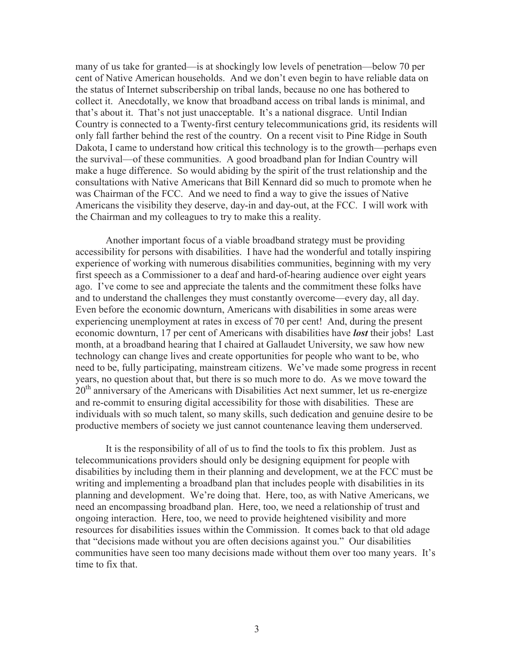many of us take for granted—is at shockingly low levels of penetration—below 70 per cent of Native American households. And we don't even begin to have reliable data on the status of Internet subscribership on tribal lands, because no one has bothered to collect it. Anecdotally, we know that broadband access on tribal lands is minimal, and that's about it. That's not just unacceptable. It's a national disgrace. Until Indian Country is connected to a Twenty-first century telecommunications grid, its residents will only fall farther behind the rest of the country. On a recent visit to Pine Ridge in South Dakota, I came to understand how critical this technology is to the growth—perhaps even the survival—of these communities. A good broadband plan for Indian Country will make a huge difference. So would abiding by the spirit of the trust relationship and the consultations with Native Americans that Bill Kennard did so much to promote when he was Chairman of the FCC. And we need to find a way to give the issues of Native Americans the visibility they deserve, day-in and day-out, at the FCC. I will work with the Chairman and my colleagues to try to make this a reality.

Another important focus of a viable broadband strategy must be providing accessibility for persons with disabilities. I have had the wonderful and totally inspiring experience of working with numerous disabilities communities, beginning with my very first speech as a Commissioner to a deaf and hard-of-hearing audience over eight years ago. I've come to see and appreciate the talents and the commitment these folks have and to understand the challenges they must constantly overcome—every day, all day. Even before the economic downturn, Americans with disabilities in some areas were experiencing unemployment at rates in excess of 70 per cent! And, during the present economic downturn, 17 per cent of Americans with disabilities have *lost* their jobs! Last month, at a broadband hearing that I chaired at Gallaudet University, we saw how new technology can change lives and create opportunities for people who want to be, who need to be, fully participating, mainstream citizens. We've made some progress in recent years, no question about that, but there is so much more to do. As we move toward the  $20<sup>th</sup>$  anniversary of the Americans with Disabilities Act next summer, let us re-energize and re-commit to ensuring digital accessibility for those with disabilities. These are individuals with so much talent, so many skills, such dedication and genuine desire to be productive members of society we just cannot countenance leaving them underserved.

It is the responsibility of all of us to find the tools to fix this problem. Just as telecommunications providers should only be designing equipment for people with disabilities by including them in their planning and development, we at the FCC must be writing and implementing a broadband plan that includes people with disabilities in its planning and development. We're doing that. Here, too, as with Native Americans, we need an encompassing broadband plan. Here, too, we need a relationship of trust and ongoing interaction. Here, too, we need to provide heightened visibility and more resources for disabilities issues within the Commission. It comes back to that old adage that "decisions made without you are often decisions against you." Our disabilities communities have seen too many decisions made without them over too many years. It's time to fix that.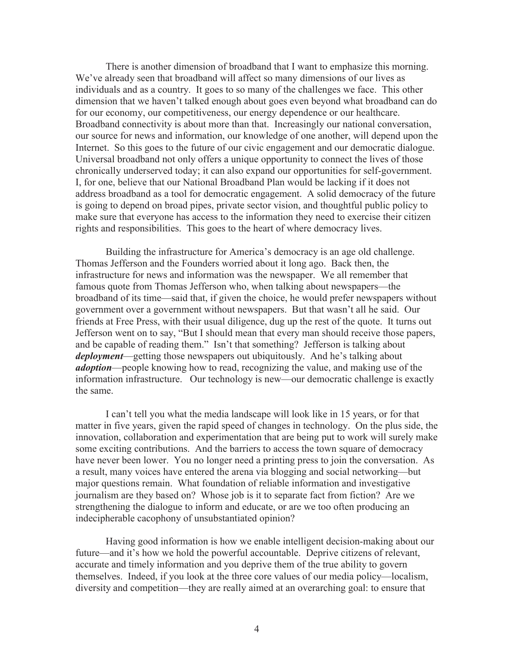There is another dimension of broadband that I want to emphasize this morning. We've already seen that broadband will affect so many dimensions of our lives as individuals and as a country. It goes to so many of the challenges we face. This other dimension that we haven't talked enough about goes even beyond what broadband can do for our economy, our competitiveness, our energy dependence or our healthcare. Broadband connectivity is about more than that. Increasingly our national conversation, our source for news and information, our knowledge of one another, will depend upon the Internet. So this goes to the future of our civic engagement and our democratic dialogue. Universal broadband not only offers a unique opportunity to connect the lives of those chronically underserved today; it can also expand our opportunities for self-government. I, for one, believe that our National Broadband Plan would be lacking if it does not address broadband as a tool for democratic engagement. A solid democracy of the future is going to depend on broad pipes, private sector vision, and thoughtful public policy to make sure that everyone has access to the information they need to exercise their citizen rights and responsibilities. This goes to the heart of where democracy lives.

Building the infrastructure for America's democracy is an age old challenge. Thomas Jefferson and the Founders worried about it long ago. Back then, the infrastructure for news and information was the newspaper. We all remember that famous quote from Thomas Jefferson who, when talking about newspapers—the broadband of its time—said that, if given the choice, he would prefer newspapers without government over a government without newspapers. But that wasn't all he said. Our friends at Free Press, with their usual diligence, dug up the rest of the quote. It turns out Jefferson went on to say, "But I should mean that every man should receive those papers, and be capable of reading them." Isn't that something? Jefferson is talking about *deployment*—getting those newspapers out ubiquitously. And he's talking about *adoption*—people knowing how to read, recognizing the value, and making use of the information infrastructure. Our technology is new—our democratic challenge is exactly the same.

I can't tell you what the media landscape will look like in 15 years, or for that matter in five years, given the rapid speed of changes in technology. On the plus side, the innovation, collaboration and experimentation that are being put to work will surely make some exciting contributions. And the barriers to access the town square of democracy have never been lower. You no longer need a printing press to join the conversation. As a result, many voices have entered the arena via blogging and social networking—but major questions remain. What foundation of reliable information and investigative journalism are they based on? Whose job is it to separate fact from fiction? Are we strengthening the dialogue to inform and educate, or are we too often producing an indecipherable cacophony of unsubstantiated opinion?

Having good information is how we enable intelligent decision-making about our future—and it's how we hold the powerful accountable. Deprive citizens of relevant, accurate and timely information and you deprive them of the true ability to govern themselves. Indeed, if you look at the three core values of our media policy—localism, diversity and competition—they are really aimed at an overarching goal: to ensure that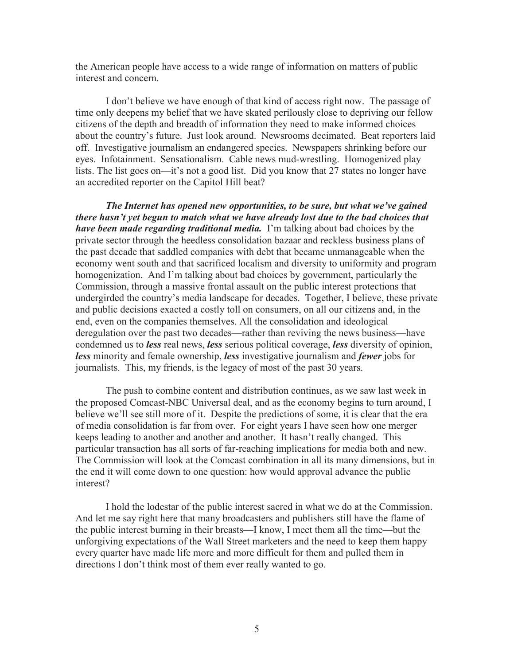the American people have access to a wide range of information on matters of public interest and concern.

I don't believe we have enough of that kind of access right now. The passage of time only deepens my belief that we have skated perilously close to depriving our fellow citizens of the depth and breadth of information they need to make informed choices about the country's future. Just look around. Newsrooms decimated. Beat reporters laid off. Investigative journalism an endangered species. Newspapers shrinking before our eyes. Infotainment. Sensationalism. Cable news mud-wrestling. Homogenized play lists. The list goes on—it's not a good list. Did you know that 27 states no longer have an accredited reporter on the Capitol Hill beat?

*The Internet has opened new opportunities, to be sure, but what we've gained there hasn't yet begun to match what we have already lost due to the bad choices that have been made regarding traditional media.* I'm talking about bad choices by the private sector through the heedless consolidation bazaar and reckless business plans of the past decade that saddled companies with debt that became unmanageable when the economy went south and that sacrificed localism and diversity to uniformity and program homogenization. And I'm talking about bad choices by government, particularly the Commission, through a massive frontal assault on the public interest protections that undergirded the country's media landscape for decades. Together, I believe, these private and public decisions exacted a costly toll on consumers, on all our citizens and, in the end, even on the companies themselves. All the consolidation and ideological deregulation over the past two decades—rather than reviving the news business—have condemned us to *less* real news, *less* serious political coverage, *less* diversity of opinion, *less* minority and female ownership, *less* investigative journalism and *fewer* jobs for journalists. This, my friends, is the legacy of most of the past 30 years.

The push to combine content and distribution continues, as we saw last week in the proposed Comcast-NBC Universal deal, and as the economy begins to turn around, I believe we'll see still more of it. Despite the predictions of some, it is clear that the era of media consolidation is far from over. For eight years I have seen how one merger keeps leading to another and another and another. It hasn't really changed. This particular transaction has all sorts of far-reaching implications for media both and new. The Commission will look at the Comcast combination in all its many dimensions, but in the end it will come down to one question: how would approval advance the public interest?

I hold the lodestar of the public interest sacred in what we do at the Commission. And let me say right here that many broadcasters and publishers still have the flame of the public interest burning in their breasts—I know, I meet them all the time—but the unforgiving expectations of the Wall Street marketers and the need to keep them happy every quarter have made life more and more difficult for them and pulled them in directions I don't think most of them ever really wanted to go.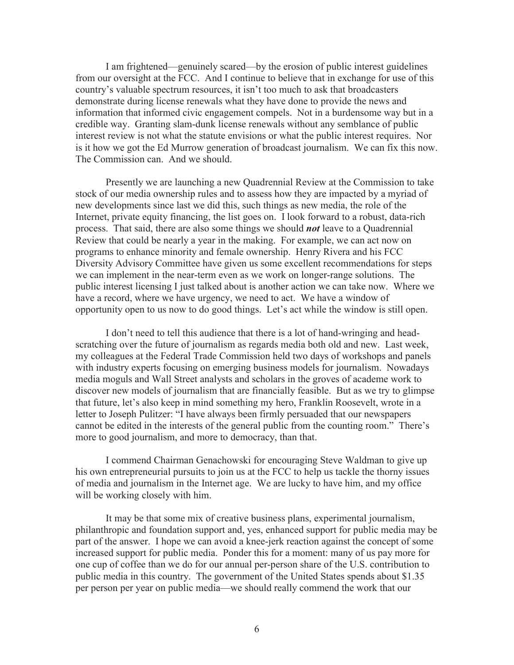I am frightened—genuinely scared—by the erosion of public interest guidelines from our oversight at the FCC. And I continue to believe that in exchange for use of this country's valuable spectrum resources, it isn't too much to ask that broadcasters demonstrate during license renewals what they have done to provide the news and information that informed civic engagement compels. Not in a burdensome way but in a credible way. Granting slam-dunk license renewals without any semblance of public interest review is not what the statute envisions or what the public interest requires. Nor is it how we got the Ed Murrow generation of broadcast journalism. We can fix this now. The Commission can. And we should.

Presently we are launching a new Quadrennial Review at the Commission to take stock of our media ownership rules and to assess how they are impacted by a myriad of new developments since last we did this, such things as new media, the role of the Internet, private equity financing, the list goes on. I look forward to a robust, data-rich process. That said, there are also some things we should *not* leave to a Quadrennial Review that could be nearly a year in the making. For example, we can act now on programs to enhance minority and female ownership. Henry Rivera and his FCC Diversity Advisory Committee have given us some excellent recommendations for steps we can implement in the near-term even as we work on longer-range solutions. The public interest licensing I just talked about is another action we can take now. Where we have a record, where we have urgency, we need to act. We have a window of opportunity open to us now to do good things. Let's act while the window is still open.

I don't need to tell this audience that there is a lot of hand-wringing and headscratching over the future of journalism as regards media both old and new. Last week, my colleagues at the Federal Trade Commission held two days of workshops and panels with industry experts focusing on emerging business models for journalism. Nowadays media moguls and Wall Street analysts and scholars in the groves of academe work to discover new models of journalism that are financially feasible. But as we try to glimpse that future, let's also keep in mind something my hero, Franklin Roosevelt, wrote in a letter to Joseph Pulitzer: "I have always been firmly persuaded that our newspapers cannot be edited in the interests of the general public from the counting room." There's more to good journalism, and more to democracy, than that.

I commend Chairman Genachowski for encouraging Steve Waldman to give up his own entrepreneurial pursuits to join us at the FCC to help us tackle the thorny issues of media and journalism in the Internet age. We are lucky to have him, and my office will be working closely with him.

It may be that some mix of creative business plans, experimental journalism, philanthropic and foundation support and, yes, enhanced support for public media may be part of the answer. I hope we can avoid a knee-jerk reaction against the concept of some increased support for public media. Ponder this for a moment: many of us pay more for one cup of coffee than we do for our annual per-person share of the U.S. contribution to public media in this country. The government of the United States spends about \$1.35 per person per year on public media—we should really commend the work that our